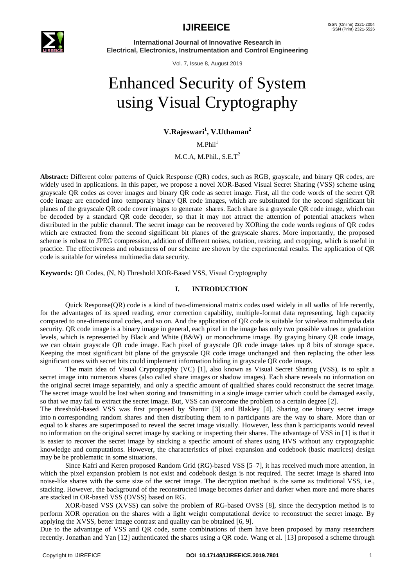

**International Journal of Innovative Research in Electrical, Electronics, Instrumentation and Control Engineering**

Vol. 7, Issue 8, August 2019

# Enhanced Security of System using Visual Cryptography

**V.Rajeswari<sup>1</sup> , V.Uthaman<sup>2</sup>**

 $M$  Phil<sup>1</sup>

 $M.C.A, M.Phil., S.E.T<sup>2</sup>$ 

**Abstract:** Different color patterns of Quick Response (QR) codes, such as RGB, grayscale, and binary QR codes, are widely used in applications. In this paper, we propose a novel XOR-Based Visual Secret Sharing (VSS) scheme using grayscale QR codes as cover images and binary QR code as secret image. First, all the code words of the secret QR code image are encoded into temporary binary QR code images, which are substituted for the second significant bit planes of the grayscale QR code cover images to generate shares. Each share is a grayscale QR code image, which can be decoded by a standard QR code decoder, so that it may not attract the attention of potential attackers when distributed in the public channel. The secret image can be recovered by XORing the code words regions of QR codes which are extracted from the second significant bit planes of the grayscale shares. More importantly, the proposed scheme is robust to JPEG compression, addition of different noises, rotation, resizing, and cropping, which is useful in practice. The effectiveness and robustness of our scheme are shown by the experimental results. The application of QR code is suitable for wireless multimedia data security.

**Keywords:** QR Codes, (N, N) Threshold XOR-Based VSS, Visual Cryptography

#### **I. INTRODUCTION**

Quick Response(QR) code is a kind of two-dimensional matrix codes used widely in all walks of life recently, for the advantages of its speed reading, error correction capability, multiple-format data representing, high capacity compared to one-dimensional codes, and so on. And the application of QR code is suitable for wireless multimedia data security. QR code image is a binary image in general, each pixel in the image has only two possible values or gradation levels, which is represented by Black and White (B&W) or monochrome image. By graying binary QR code image, we can obtain grayscale QR code image. Each pixel of grayscale QR code image takes up 8 bits of storage space. Keeping the most significant bit plane of the grayscale QR code image unchanged and then replacing the other less significant ones with secret bits could implement information hiding in grayscale QR code image.

The main idea of Visual Cryptography (VC) [1], also known as Visual Secret Sharing (VSS), is to split a secret image into numerous shares (also called share images or shadow images). Each share reveals no information on the original secret image separately, and only a specific amount of qualified shares could reconstruct the secret image. The secret image would be lost when storing and transmitting in a single image carrier which could be damaged easily, so that we may fail to extract the secret image. But, VSS can overcome the problem to a certain degree [2].

The threshold-based VSS was first proposed by Shamir [3] and Blakley [4]. Sharing one binary secret image into n corresponding random shares and then distributing them to n participants are the way to share. More than or equal to k shares are superimposed to reveal the secret image visually. However, less than k participants would reveal no information on the original secret image by stacking or inspecting their shares. The advantage of VSS in [1] is that it is easier to recover the secret image by stacking a specific amount of shares using HVS without any cryptographic knowledge and computations. However, the characteristics of pixel expansion and codebook (basic matrices) design may be be problematic in some situations.

Since Kafri and Keren proposed Random Grid (RG)-based VSS [5–7], it has received much more attention, in which the pixel expansion problem is not exist and codebook design is not required. The secret image is shared into noise-like shares with the same size of the secret image. The decryption method is the same as traditional VSS, i.e., stacking. However, the background of the reconstructed image becomes darker and darker when more and more shares are stacked in OR-based VSS (OVSS) based on RG.

XOR-based VSS (XVSS) can solve the problem of RG-based OVSS [8], since the decryption method is to perform XOR operation on the shares with a light weight computational device to reconstruct the secret image. By applying the XVSS, better image contrast and quality can be obtained [6, 9].

Due to the advantage of VSS and QR code, some combinations of them have been proposed by many researchers recently. Jonathan and Yan [12] authenticated the shares using a QR code. Wang et al. [13] proposed a scheme through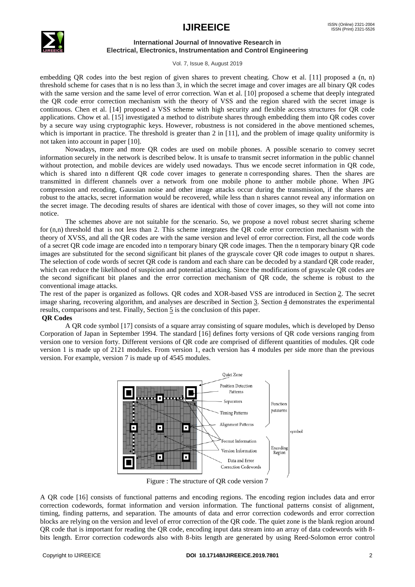## **IJIREEICE** ISSN (Online) 2321-2004



#### **International Journal of Innovative Research in Electrical, Electronics, Instrumentation and Control Engineering**

Vol. 7, Issue 8, August 2019

embedding QR codes into the best region of given shares to prevent cheating. Chow et al. [11] proposed a (n, n) threshold scheme for cases that n is no less than 3, in which the secret image and cover images are all binary QR codes with the same version and the same level of error correction. Wan et al. [10] proposed a scheme that deeply integrated the QR code error correction mechanism with the theory of VSS and the region shared with the secret image is continuous. Chen et al. [14] proposed a VSS scheme with high security and flexible access structures for QR code applications. Chow et al. [15] investigated a method to distribute shares through embedding them into QR codes cover by a secure way using cryptographic keys. However, robustness is not considered in the above mentioned schemes, which is important in practice. The threshold is greater than 2 in [11], and the problem of image quality uniformity is not taken into account in paper [10].

Nowadays, more and more QR codes are used on mobile phones. A possible scenario to convey secret information securely in the network is described below. It is unsafe to transmit secret information in the public channel without protection, and mobile devices are widely used nowadays. Thus we encode secret information in QR code, which is shared into n different QR code cover images to generate n corresponding shares. Then the shares are transmitted in different channels over a network from one mobile phone to anther mobile phone. When JPG compression and recoding, Gaussian noise and other image attacks occur during the transmission, if the shares are robust to the attacks, secret information would be recovered, while less than n shares cannot reveal any information on the secret image. The decoding results of shares are identical with those of cover images, so they will not come into notice.

The schemes above are not suitable for the scenario. So, we propose a novel robust secret sharing scheme for (n,n) threshold that is not less than 2. This scheme integrates the QR code error correction mechanism with the theory of XVSS, and all the QR codes are with the same version and level of error correction. First, all the code words of a secret QR code image are encoded into n temporary binary QR code images. Then the n temporary binary QR code images are substituted for the second significant bit planes of the grayscale cover QR code images to output n shares. The selection of code words of secret QR code is random and each share can be decoded by a standard QR code reader, which can reduce the likelihood of suspicion and potential attacking. Since the modifications of grayscale QR codes are the second significant bit planes and the error correction mechanism of QR code, the scheme is robust to the conventional image attacks.

The rest of the paper is organized as follows. QR codes and XOR-based VSS are introduced in Section 2. The secret image sharing, recovering algorithm, and analyses are described in Section 3. Section 4 demonstrates the experimental results, comparisons and test. Finally, Section 5 is the conclusion of this paper.

#### **QR Codes**

A QR code symbol [17] consists of a square array consisting of square modules, which is developed by Denso Corporation of Japan in September 1994. The standard [16] defines forty versions of QR code versions ranging from version one to version forty. Different versions of QR code are comprised of different quantities of modules. QR code version 1 is made up of 2121 modules. From version 1, each version has 4 modules per side more than the previous version. For example, version 7 is made up of 4545 modules.



Figure : The structure of QR code version 7

A QR code [16] consists of functional patterns and encoding regions. The encoding region includes data and error correction codewords, format information and version information. The functional patterns consist of alignment, timing, finding patterns, and separation. The amounts of data and error correction codewords and error correction blocks are relying on the version and level of error correction of the QR code. The quiet zone is the blank region around QR code that is important for reading the QR code, encoding input data stream into an array of data codewords with 8 bits length. Error correction codewords also with 8-bits length are generated by using Reed-Solomon error control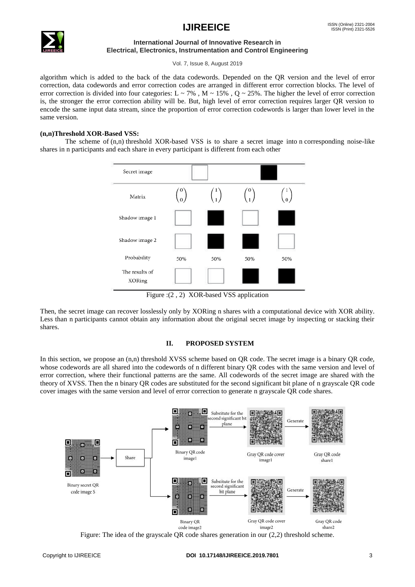# **IJIREEICE** ISSN (Online)  $2321-2004$



#### **International Journal of Innovative Research in Electrical, Electronics, Instrumentation and Control Engineering**

Vol. 7, Issue 8, August 2019

algorithm which is added to the back of the data codewords. Depended on the QR version and the level of error correction, data codewords and error correction codes are arranged in different error correction blocks. The level of error correction is divided into four categories: L ~ 7%, M ~ 15%, Q ~ 25%. The higher the level of error correction is, the stronger the error correction ability will be. But, high level of error correction requires larger QR version to encode the same input data stream, since the proportion of error correction codewords is larger than lower level in the same version.

#### **(n,n)Threshold XOR-Based VSS:**

The scheme of (n,n) threshold XOR-based VSS is to share a secret image into n corresponding noise-like shares in n participants and each share in every participant is different from each other



Figure :(2 , 2) XOR-based VSS application

Then, the secret image can recover losslessly only by XORing n shares with a computational device with XOR ability. Less than n participants cannot obtain any information about the original secret image by inspecting or stacking their shares.

### **II. PROPOSED SYSTEM**

In this section, we propose an  $(n,n)$  threshold XVSS scheme based on QR code. The secret image is a binary QR code, whose codewords are all shared into the codewords of n different binary QR codes with the same version and level of error correction, where their functional patterns are the same. All codewords of the secret image are shared with the theory of XVSS. Then the n binary QR codes are substituted for the second significant bit plane of n grayscale QR code cover images with the same version and level of error correction to generate n grayscale QR code shares.



Figure: The idea of the grayscale QR code shares generation in our (2,2) threshold scheme.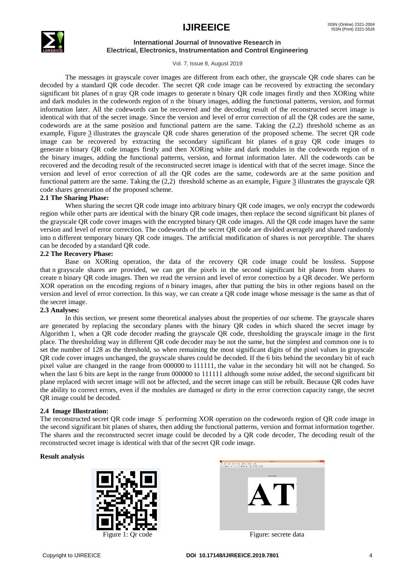# **IJIREEICE** ISSN (Online) 2321-2004



#### **International Journal of Innovative Research in Electrical, Electronics, Instrumentation and Control Engineering**

Vol. 7, Issue 8, August 2019

The messages in grayscale cover images are different from each other, the grayscale QR code shares can be decoded by a standard QR code decoder. The secret QR code image can be recovered by extracting the secondary significant bit planes of n gray QR code images to generate n binary QR code images firstly and then XORing white and dark modules in the codewords region of n the binary images, adding the functional patterns, version, and format information later. All the codewords can be recovered and the decoding result of the reconstructed secret image is identical with that of the secret image. Since the version and level of error correction of all the QR codes are the same, codewords are at the same position and functional pattern are the same. Taking the (2,2) threshold scheme as an example, Figure 3 illustrates the grayscale QR code shares generation of the proposed scheme. The secret QR code image can be recovered by extracting the secondary significant bit planes of n gray QR code images to generate n binary QR code images firstly and then XORing white and dark modules in the codewords region of n the binary images, adding the functional patterns, version, and format information later. All the codewords can be recovered and the decoding result of the reconstructed secret image is identical with that of the secret image. Since the version and level of error correction of all the QR codes are the same, codewords are at the same position and functional pattern are the same. Taking the (2,2) threshold scheme as an example, Figure 3 illustrates the grayscale QR code shares generation of the proposed scheme.

#### **2.1 The Sharing Phase:**

When sharing the secret QR code image into arbitrary binary QR code images, we only encrypt the codewords region while other parts are identical with the binary QR code images, then replace the second significant bit planes of the grayscale QR code cover images with the encrypted binary QR code images. All the QR code images have the same version and level of error correction. The codewords of the secret QR code are divided averagely and shared randomly into n different temporary binary QR code images. The artificial modification of shares is not perceptible. The shares can be decoded by a standard QR code.

#### **2.2 The Recovery Phase:**

Base on XORing operation, the data of the recovery QR code image could be lossless. Suppose that n grayscale shares are provided, we can get the pixels in the second significant bit planes from shares to create n binary QR code images. Then we read the version and level of error correction by a QR decoder. We perform XOR operation on the encoding regions of n binary images, after that putting the bits in other regions based on the version and level of error correction. In this way, we can create a QR code image whose message is the same as that of the secret image.

#### **2.3 Analyses:**

In this section, we present some theoretical analyses about the properties of our scheme. The grayscale shares are generated by replacing the secondary planes with the binary QR codes in which shared the secret image by Algorithm 1, when a QR code decoder reading the grayscale QR code, thresholding the grayscale image in the first place. The thresholding way in different QR code decoder may be not the same, but the simplest and common one is to set the number of 128 as the threshold, so when remaining the most significant digits of the pixel values in grayscale QR code cover images unchanged, the grayscale shares could be decoded. If the 6 bits behind the secondary bit of each pixel value are changed in the range from 000000 to 111111, the value in the secondary bit will not be changed. So when the last 6 bits are kept in the range from 000000 to 111111 although some noise added, the second significant bit plane replaced with secret image will not be affected, and the secret image can still be rebuilt. Because QR codes have the ability to correct errors, even if the modules are damaged or dirty in the error correction capacity range, the secret QR image could be decoded.

#### **2.4 Image Illustration:**

The reconstructed secret QR code image S<sup>'</sup> performing XOR operation on the codewords region of QR code image in the second significant bit planes of shares, then adding the functional patterns, version and format information together. The shares and the reconstructed secret image could be decoded by a QR code decoder, The decoding result of the reconstructed secret image is identical with that of the secret QR code image.

#### **Result analysis**